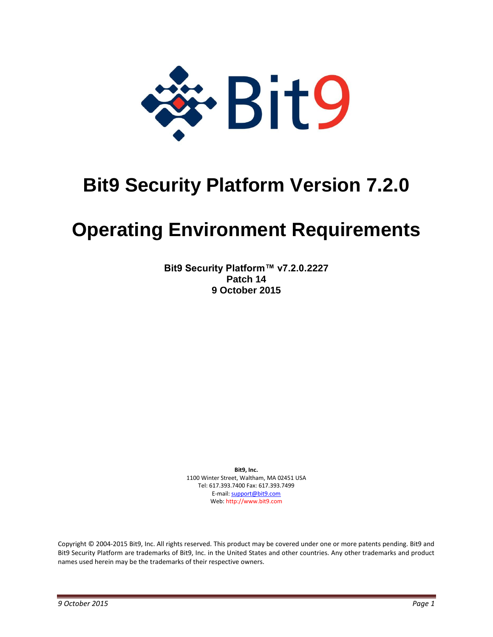

# **Bit9 Security Platform Version 7.2.0**

# **Operating Environment Requirements**

**Bit9 Security Platform™ v7.2.0.2227 Patch 14 9 October 2015**

> **Bit9, Inc.**  1100 Winter Street, Waltham, MA 02451 USA Tel: 617.393.7400 Fax: 617.393.7499 E-mail[: support@bit9.com](mailto:support@bit9.com) Web: http://www.bit9.com

Copyright © 2004-2015 Bit9, Inc. All rights reserved. This product may be covered under one or more patents pending. Bit9 and Bit9 Security Platform are trademarks of Bit9, Inc. in the United States and other countries. Any other trademarks and product names used herein may be the trademarks of their respective owners.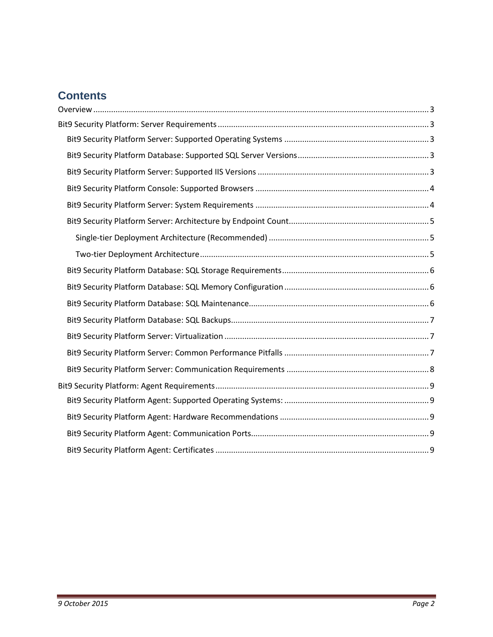# **Contents**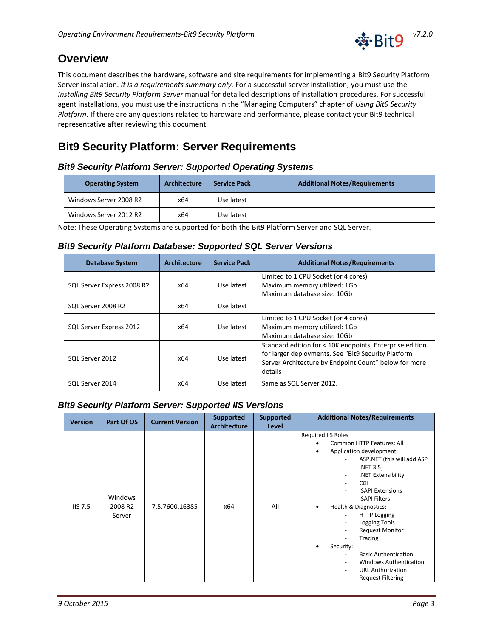

# <span id="page-2-0"></span>**Overview**

This document describes the hardware, software and site requirements for implementing a Bit9 Security Platform Server installation. *It is a requirements summary only.* For a successful server installation, you must use the *Installing Bit9 Security Platform Server* manual for detailed descriptions of installation procedures. For successful agent installations, you must use the instructions in the "Managing Computers" chapter of *Using Bit9 Security Platform*. If there are any questions related to hardware and performance, please contact your Bit9 technical representative after reviewing this document.

# <span id="page-2-1"></span>**Bit9 Security Platform: Server Requirements**

# <span id="page-2-2"></span>*Bit9 Security Platform Server: Supported Operating Systems*

| <b>Operating System</b> | <b>Architecture</b> | <b>Service Pack</b> | <b>Additional Notes/Requirements</b> |
|-------------------------|---------------------|---------------------|--------------------------------------|
| Windows Server 2008 R2  | x64                 | Use latest          |                                      |
| Windows Server 2012 R2  | x64                 | Use latest          |                                      |

Note: These Operating Systems are supported for both the Bit9 Platform Server and SQL Server.

## <span id="page-2-3"></span>*Bit9 Security Platform Database: Supported SQL Server Versions*

| <b>Database System</b>     | <b>Architecture</b> | <b>Service Pack</b> | <b>Additional Notes/Requirements</b>                                                                                                                                                |
|----------------------------|---------------------|---------------------|-------------------------------------------------------------------------------------------------------------------------------------------------------------------------------------|
| SQL Server Express 2008 R2 | x64                 | Use latest          | Limited to 1 CPU Socket (or 4 cores)<br>Maximum memory utilized: 1Gb<br>Maximum database size: 10Gb                                                                                 |
| SQL Server 2008 R2         | x64                 | Use latest          |                                                                                                                                                                                     |
| SQL Server Express 2012    | x64                 | Use latest          | Limited to 1 CPU Socket (or 4 cores)<br>Maximum memory utilized: 1Gb<br>Maximum database size: 10Gb                                                                                 |
| SQL Server 2012            | x64                 | Use latest          | Standard edition for < 10K endpoints, Enterprise edition<br>for larger deployments. See "Bit9 Security Platform<br>Server Architecture by Endpoint Count" below for more<br>details |
| SQL Server 2014            | x64                 | Use latest          | Same as SQL Server 2012.                                                                                                                                                            |

# <span id="page-2-4"></span>*Bit9 Security Platform Server: Supported IIS Versions*

| <b>Version</b> | Part Of OS                                      | <b>Current Version</b> | Supported<br><b>Architecture</b> | <b>Supported</b><br>Level | <b>Additional Notes/Requirements</b>                                                                                                                                                                                                                                                                                                                                                                                                                                                                                                                                              |
|----------------|-------------------------------------------------|------------------------|----------------------------------|---------------------------|-----------------------------------------------------------------------------------------------------------------------------------------------------------------------------------------------------------------------------------------------------------------------------------------------------------------------------------------------------------------------------------------------------------------------------------------------------------------------------------------------------------------------------------------------------------------------------------|
| IIS 7.5        | <b>Windows</b><br>2008 R <sub>2</sub><br>Server | 7.5.7600.16385         | x64                              | All                       | Required IIS Roles<br>Common HTTP Features: All<br>Application development:<br>ASP.NET (this will add ASP<br>.NET 3.5)<br>.NET Extensibility<br>CGI<br>$\overline{\phantom{0}}$<br><b>ISAPI Extensions</b><br><b>ISAPI Filters</b><br>Health & Diagnostics:<br>٠<br><b>HTTP Logging</b><br>$\blacksquare$<br>Logging Tools<br>$\overline{\phantom{0}}$<br><b>Request Monitor</b><br>Tracing<br>Security:<br><b>Basic Authentication</b><br>$\overline{\phantom{a}}$<br>Windows Authentication<br>$\overline{\phantom{a}}$<br><b>URL Authorization</b><br><b>Request Filtering</b> |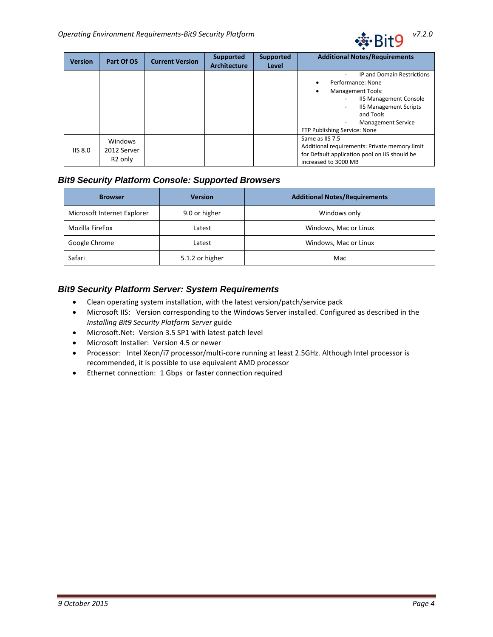

| <b>Version</b> | Part Of OS                                           | <b>Current Version</b> | <b>Supported</b><br><b>Architecture</b> | <b>Supported</b><br>Level | <b>Additional Notes/Requirements</b>                                                                                                                                                                                                                       |
|----------------|------------------------------------------------------|------------------------|-----------------------------------------|---------------------------|------------------------------------------------------------------------------------------------------------------------------------------------------------------------------------------------------------------------------------------------------------|
|                |                                                      |                        |                                         |                           | <b>IP and Domain Restrictions</b><br>Performance: None<br><b>Management Tools:</b><br><b>IIS Management Console</b><br><b>IIS Management Scripts</b><br>$\overline{\phantom{0}}$<br>and Tools<br><b>Management Service</b><br>FTP Publishing Service: None |
| IIS 8.0        | <b>Windows</b><br>2012 Server<br>R <sub>2</sub> only |                        |                                         |                           | Same as IIS 7.5<br>Additional requirements: Private memory limit<br>for Default application pool on IIS should be<br>increased to 3000 MB                                                                                                                  |

# <span id="page-3-0"></span>*Bit9 Security Platform Console: Supported Browsers*

| <b>Version</b><br><b>Browser</b> |                 | <b>Additional Notes/Requirements</b> |  |  |
|----------------------------------|-----------------|--------------------------------------|--|--|
| Microsoft Internet Explorer      | 9.0 or higher   | Windows only                         |  |  |
| Mozilla FireFox<br>Latest        |                 | Windows, Mac or Linux                |  |  |
| Google Chrome                    | Latest          | Windows, Mac or Linux                |  |  |
| Safari                           | 5.1.2 or higher | Mac                                  |  |  |

# <span id="page-3-1"></span>*Bit9 Security Platform Server: System Requirements*

- Clean operating system installation, with the latest version/patch/service pack
- Microsoft IIS: Version corresponding to the Windows Server installed. Configured as described in the *Installing Bit9 Security Platform Server* guide
- Microsoft.Net: Version 3.5 SP1 with latest patch level
- Microsoft Installer: Version 4.5 or newer
- Processor: Intel Xeon/i7 processor/multi-core running at least 2.5GHz. Although Intel processor is recommended, it is possible to use equivalent AMD processor
- Ethernet connection: 1 Gbps or faster connection required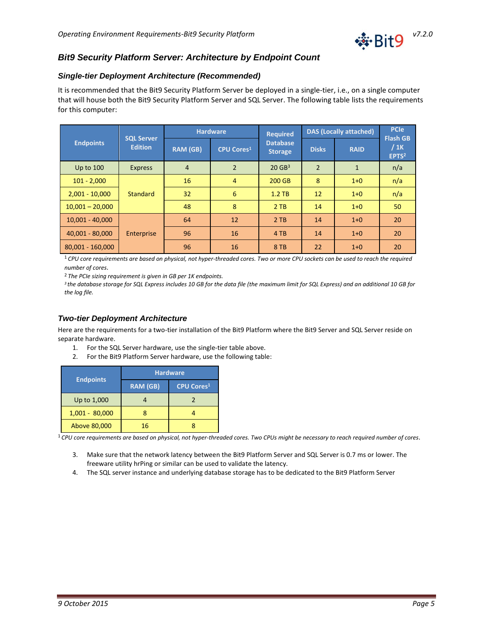

## <span id="page-4-0"></span>*Bit9 Security Platform Server: Architecture by Endpoint Count*

#### <span id="page-4-1"></span>*Single-tier Deployment Architecture (Recommended)*

It is recommended that the Bit9 Security Platform Server be deployed in a single-tier, i.e., on a single computer that will house both the Bit9 Security Platform Server and SQL Server. The following table lists the requirements for this computer:

|                   |                                     | <b>Hardware</b> |                   | <b>Required</b>                   | <b>DAS (Locally attached)</b> |              | <b>PCIe</b><br><b>Flash GB</b> |
|-------------------|-------------------------------------|-----------------|-------------------|-----------------------------------|-------------------------------|--------------|--------------------------------|
| <b>Endpoints</b>  | <b>SQL Server</b><br><b>Edition</b> | <b>RAM (GB)</b> | <b>CPU Cores1</b> | <b>Database</b><br><b>Storage</b> | <b>Disks</b>                  | <b>RAID</b>  | / 1K<br>EPTS <sup>2</sup>      |
| Up to $100$       | <b>Express</b>                      | $\overline{4}$  | $\overline{2}$    | $20$ GB <sup>3</sup>              | $\overline{2}$                | $\mathbf{1}$ | n/a                            |
| $101 - 2,000$     |                                     | 16              | $\overline{4}$    | 200 GB                            | 8                             | $1+0$        | n/a                            |
| $2,001 - 10,000$  | <b>Standard</b>                     | 32              | 6                 | $1.2$ TB                          | 12                            | $1+0$        | n/a                            |
| $10,001 - 20,000$ |                                     | 48              | 8                 | 2TB                               | 14                            | $1 + 0$      | 50                             |
| $10,001 - 40,000$ |                                     | 64              | 12                | 2TB                               | 14                            | $1+0$        | 20                             |
| 40,001 - 80,000   | Enterprise                          | 96              | 16                | 4 TB                              | 14                            | $1+0$        | 20                             |
| 80,001 - 160,000  |                                     | 96              | 16                | 8 TB                              | 22                            | $1+0$        | 20                             |

<sup>1</sup>*CPU core requirements are based on physical, not hyper-threaded cores. Two or more CPU sockets can be used to reach the required number of cores*.

<sup>2</sup> *The PCIe sizing requirement is given in GB per 1K endpoints.*

*<sup>3</sup>the database storage for SQL Express includes 10 GB for the data file (the maximum limit for SQL Express) and an additional 10 GB for the log file.*

#### <span id="page-4-2"></span>*Two-tier Deployment Architecture*

Here are the requirements for a two-tier installation of the Bit9 Platform where the Bit9 Server and SQL Server reside on separate hardware.

- 1. For the SQL Server hardware, use the single-tier table above.
- 2. For the Bit9 Platform Server hardware, use the following table:

|                  | <b>Hardware</b> |                   |  |  |  |
|------------------|-----------------|-------------------|--|--|--|
| <b>Endpoints</b> | <b>RAM (GB)</b> | <b>CPU Cores1</b> |  |  |  |
| Up to 1,000      |                 |                   |  |  |  |
| $1,001 - 80,000$ |                 |                   |  |  |  |
| Above 80,000     | 16              |                   |  |  |  |

<sup>1</sup>*CPU core requirements are based on physical, not hyper-threaded cores. Two CPUs might be necessary to reach required number of cores*.

- 3. Make sure that the network latency between the Bit9 Platform Server and SQL Server is 0.7 ms or lower. The freeware utility hrPing or similar can be used to validate the latency.
- 4. The SQL server instance and underlying database storage has to be dedicated to the Bit9 Platform Server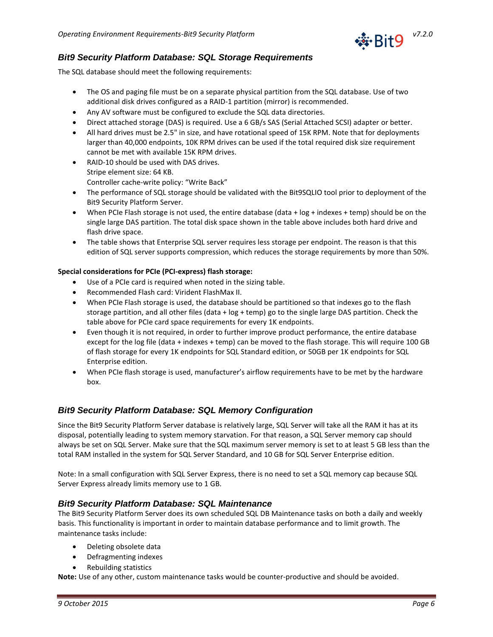

#### <span id="page-5-0"></span>*Bit9 Security Platform Database: SQL Storage Requirements*

The SQL database should meet the following requirements:

- The OS and paging file must be on a separate physical partition from the SQL database. Use of two additional disk drives configured as a RAID-1 partition (mirror) is recommended.
- Any AV software must be configured to exclude the SQL data directories.
- Direct attached storage (DAS) is required. Use a 6 GB/s SAS (Serial Attached SCSI) adapter or better.
- All hard drives must be 2.5" in size, and have rotational speed of 15K RPM. Note that for deployments larger than 40,000 endpoints, 10K RPM drives can be used if the total required disk size requirement cannot be met with available 15K RPM drives.
- RAID-10 should be used with DAS drives. Stripe element size: 64 KB. Controller cache-write policy: "Write Back"
- The performance of SQL storage should be validated with the Bit9SQLIO tool prior to deployment of the Bit9 Security Platform Server.
- When PCIe Flash storage is not used, the entire database (data + log + indexes + temp) should be on the single large DAS partition. The total disk space shown in the table above includes both hard drive and flash drive space.
- The table shows that Enterprise SQL server requires less storage per endpoint. The reason is that this edition of SQL server supports compression, which reduces the storage requirements by more than 50%.

#### **Special considerations for PCIe (PCI-express) flash storage:**

- Use of a PCIe card is required when noted in the sizing table.
- Recommended Flash card: Virident FlashMax II.
- When PCIe Flash storage is used, the database should be partitioned so that indexes go to the flash storage partition, and all other files (data + log + temp) go to the single large DAS partition. Check the table above for PCIe card space requirements for every 1K endpoints.
- Even though it is not required, in order to further improve product performance, the entire database except for the log file (data + indexes + temp) can be moved to the flash storage. This will require 100 GB of flash storage for every 1K endpoints for SQL Standard edition, or 50GB per 1K endpoints for SQL Enterprise edition.
- When PCIe flash storage is used, manufacturer's airflow requirements have to be met by the hardware box.

#### <span id="page-5-1"></span>*Bit9 Security Platform Database: SQL Memory Configuration*

Since the Bit9 Security Platform Server database is relatively large, SQL Server will take all the RAM it has at its disposal, potentially leading to system memory starvation. For that reason, a SQL Server memory cap should always be set on SQL Server. Make sure that the SQL maximum server memory is set to at least 5 GB less than the total RAM installed in the system for SQL Server Standard, and 10 GB for SQL Server Enterprise edition.

Note: In a small configuration with SQL Server Express, there is no need to set a SQL memory cap because SQL Server Express already limits memory use to 1 GB.

#### <span id="page-5-2"></span>*Bit9 Security Platform Database: SQL Maintenance*

The Bit9 Security Platform Server does its own scheduled SQL DB Maintenance tasks on both a daily and weekly basis. This functionality is important in order to maintain database performance and to limit growth. The maintenance tasks include:

- Deleting obsolete data
- Defragmenting indexes
- Rebuilding statistics

**Note:** Use of any other, custom maintenance tasks would be counter-productive and should be avoided.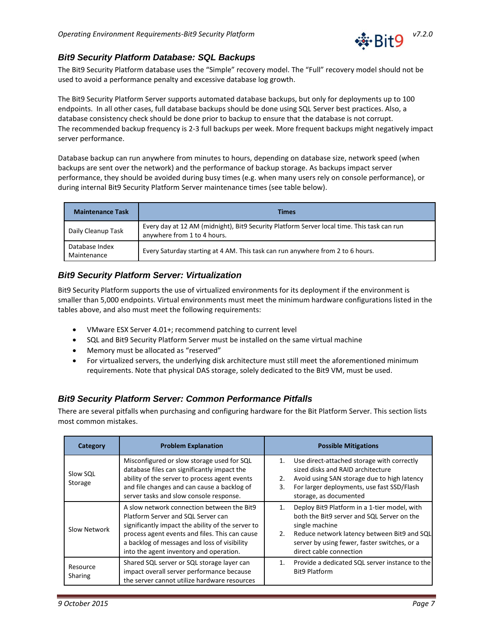

# <span id="page-6-0"></span>*Bit9 Security Platform Database: SQL Backups*

The Bit9 Security Platform database uses the "Simple" recovery model. The "Full" recovery model should not be used to avoid a performance penalty and excessive database log growth.

The Bit9 Security Platform Server supports automated database backups, but only for deployments up to 100 endpoints. In all other cases, full database backups should be done using SQL Server best practices. Also, a database consistency check should be done prior to backup to ensure that the database is not corrupt. The recommended backup frequency is 2-3 full backups per week. More frequent backups might negatively impact server performance.

Database backup can run anywhere from minutes to hours, depending on database size, network speed (when backups are sent over the network) and the performance of backup storage. As backups impact server performance, they should be avoided during busy times (e.g. when many users rely on console performance), or during internal Bit9 Security Platform Server maintenance times (see table below).

| <b>Maintenance Task</b>       | Times                                                                                                                     |
|-------------------------------|---------------------------------------------------------------------------------------------------------------------------|
| Daily Cleanup Task            | Every day at 12 AM (midnight), Bit9 Security Platform Server local time. This task can run<br>anywhere from 1 to 4 hours. |
| Database Index<br>Maintenance | Every Saturday starting at 4 AM. This task can run anywhere from 2 to 6 hours.                                            |

# <span id="page-6-1"></span>*Bit9 Security Platform Server: Virtualization*

Bit9 Security Platform supports the use of virtualized environments for its deployment if the environment is smaller than 5,000 endpoints. Virtual environments must meet the minimum hardware configurations listed in the tables above, and also must meet the following requirements:

- VMware ESX Server 4.01+; recommend patching to current level
- SQL and Bit9 Security Platform Server must be installed on the same virtual machine
- Memory must be allocated as "reserved"
- For virtualized servers, the underlying disk architecture must still meet the aforementioned minimum requirements. Note that physical DAS storage, solely dedicated to the Bit9 VM, must be used.

# <span id="page-6-2"></span>*Bit9 Security Platform Server: Common Performance Pitfalls*

There are several pitfalls when purchasing and configuring hardware for the Bit Platform Server. This section lists most common mistakes.

| Category            | <b>Problem Explanation</b>                                                                                                                                                                                                                                                         |                | <b>Possible Mitigations</b>                                                                                                                                                                                                            |
|---------------------|------------------------------------------------------------------------------------------------------------------------------------------------------------------------------------------------------------------------------------------------------------------------------------|----------------|----------------------------------------------------------------------------------------------------------------------------------------------------------------------------------------------------------------------------------------|
| Slow SQL<br>Storage | Misconfigured or slow storage used for SQL<br>database files can significantly impact the<br>ability of the server to process agent events<br>and file changes and can cause a backlog of<br>server tasks and slow console response.                                               | 1.<br>2.<br>3. | Use direct-attached storage with correctly<br>sized disks and RAID architecture<br>Avoid using SAN storage due to high latency<br>For larger deployments, use fast SSD/Flash<br>storage, as documented                                 |
| Slow Network        | A slow network connection between the Bit9<br>Platform Server and SQL Server can<br>significantly impact the ability of the server to<br>process agent events and files. This can cause<br>a backlog of messages and loss of visibility<br>into the agent inventory and operation. | 1.<br>2.       | Deploy Bit9 Platform in a 1-tier model, with<br>both the Bit9 server and SQL Server on the<br>single machine<br>Reduce network latency between Bit9 and SQL<br>server by using fewer, faster switches, or a<br>direct cable connection |
| Resource<br>Sharing | Shared SQL server or SQL storage layer can<br>impact overall server performance because<br>the server cannot utilize hardware resources                                                                                                                                            | $1_{-}$        | Provide a dedicated SQL server instance to the<br><b>Bit9 Platform</b>                                                                                                                                                                 |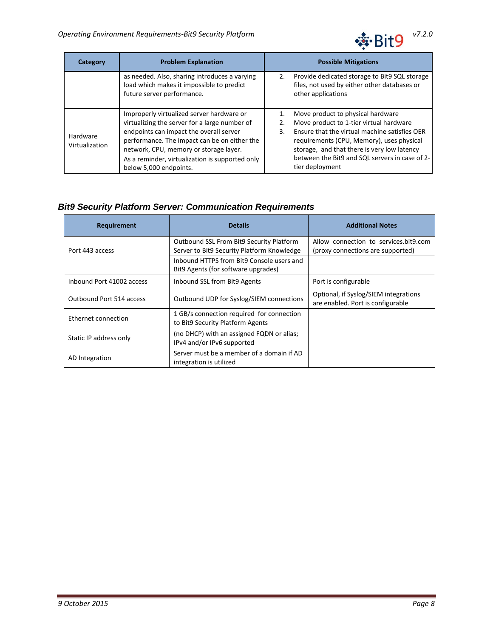

| <b>Problem Explanation</b><br>Category |                                                                                                                                                                                                                                 | <b>Possible Mitigations</b> |                                                                                                                                                                                                                                                                             |  |
|----------------------------------------|---------------------------------------------------------------------------------------------------------------------------------------------------------------------------------------------------------------------------------|-----------------------------|-----------------------------------------------------------------------------------------------------------------------------------------------------------------------------------------------------------------------------------------------------------------------------|--|
|                                        | as needed. Also, sharing introduces a varying<br>load which makes it impossible to predict<br>future server performance.                                                                                                        |                             | Provide dedicated storage to Bit9 SQL storage<br>files, not used by either other databases or<br>other applications                                                                                                                                                         |  |
| Hardware<br>Virtualization             | Improperly virtualized server hardware or<br>virtualizing the server for a large number of<br>endpoints can impact the overall server<br>performance. The impact can be on either the<br>network, CPU, memory or storage layer. | 1.<br>2.<br>3.              | Move product to physical hardware<br>Move product to 1-tier virtual hardware<br>Ensure that the virtual machine satisfies OER<br>requirements (CPU, Memory), uses physical<br>storage, and that there is very low latency<br>between the Bit9 and SQL servers in case of 2- |  |
|                                        | As a reminder, virtualization is supported only<br>below 5,000 endpoints.                                                                                                                                                       |                             | tier deployment                                                                                                                                                                                                                                                             |  |

# <span id="page-7-0"></span>*Bit9 Security Platform Server: Communication Requirements*

| <b>Requirement</b>        | <b>Details</b>                                                                         | <b>Additional Notes</b>                                                    |
|---------------------------|----------------------------------------------------------------------------------------|----------------------------------------------------------------------------|
| Port 443 access           | Outbound SSL From Bit9 Security Platform<br>Server to Bit9 Security Platform Knowledge | Allow connection to services.bit9.com<br>(proxy connections are supported) |
|                           | Inbound HTTPS from Bit9 Console users and<br>Bit 9 Agents (for software upgrades)      |                                                                            |
| Inbound Port 41002 access | Inbound SSL from Bit9 Agents                                                           | Port is configurable                                                       |
| Outbound Port 514 access  | Outbound UDP for Syslog/SIEM connections                                               | Optional, if Syslog/SIEM integrations<br>are enabled. Port is configurable |
| Ethernet connection       | 1 GB/s connection required for connection<br>to Bit9 Security Platform Agents          |                                                                            |
| Static IP address only    | (no DHCP) with an assigned FQDN or alias;<br>IPv4 and/or IPv6 supported                |                                                                            |
| AD Integration            | Server must be a member of a domain if AD<br>integration is utilized                   |                                                                            |